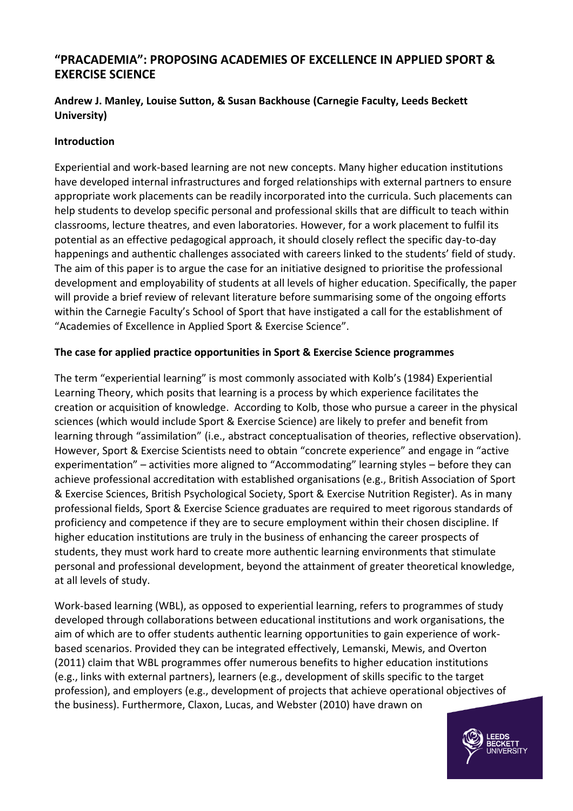# **"PRACADEMIA": PROPOSING ACADEMIES OF EXCELLENCE IN APPLIED SPORT & EXERCISE SCIENCE**

# **Andrew J. Manley, Louise Sutton, & Susan Backhouse (Carnegie Faculty, Leeds Beckett University)**

#### **Introduction**

Experiential and work-based learning are not new concepts. Many higher education institutions have developed internal infrastructures and forged relationships with external partners to ensure appropriate work placements can be readily incorporated into the curricula. Such placements can help students to develop specific personal and professional skills that are difficult to teach within classrooms, lecture theatres, and even laboratories. However, for a work placement to fulfil its potential as an effective pedagogical approach, it should closely reflect the specific day-to-day happenings and authentic challenges associated with careers linked to the students' field of study. The aim of this paper is to argue the case for an initiative designed to prioritise the professional development and employability of students at all levels of higher education. Specifically, the paper will provide a brief review of relevant literature before summarising some of the ongoing efforts within the Carnegie Faculty's School of Sport that have instigated a call for the establishment of "Academies of Excellence in Applied Sport & Exercise Science".

### **The case for applied practice opportunities in Sport & Exercise Science programmes**

The term "experiential learning" is most commonly associated with Kolb's (1984) Experiential Learning Theory, which posits that learning is a process by which experience facilitates the creation or acquisition of knowledge. According to Kolb, those who pursue a career in the physical sciences (which would include Sport & Exercise Science) are likely to prefer and benefit from learning through "assimilation" (i.e., abstract conceptualisation of theories, reflective observation). However, Sport & Exercise Scientists need to obtain "concrete experience" and engage in "active experimentation" – activities more aligned to "Accommodating" learning styles – before they can achieve professional accreditation with established organisations (e.g., British Association of Sport & Exercise Sciences, British Psychological Society, Sport & Exercise Nutrition Register). As in many professional fields, Sport & Exercise Science graduates are required to meet rigorous standards of proficiency and competence if they are to secure employment within their chosen discipline. If higher education institutions are truly in the business of enhancing the career prospects of students, they must work hard to create more authentic learning environments that stimulate personal and professional development, beyond the attainment of greater theoretical knowledge, at all levels of study.

Work-based learning (WBL), as opposed to experiential learning, refers to programmes of study developed through collaborations between educational institutions and work organisations, the aim of which are to offer students authentic learning opportunities to gain experience of workbased scenarios. Provided they can be integrated effectively, Lemanski, Mewis, and Overton (2011) claim that WBL programmes offer numerous benefits to higher education institutions (e.g., links with external partners), learners (e.g., development of skills specific to the target profession), and employers (e.g., development of projects that achieve operational objectives of the business). Furthermore, Claxon, Lucas, and Webster (2010) have drawn on

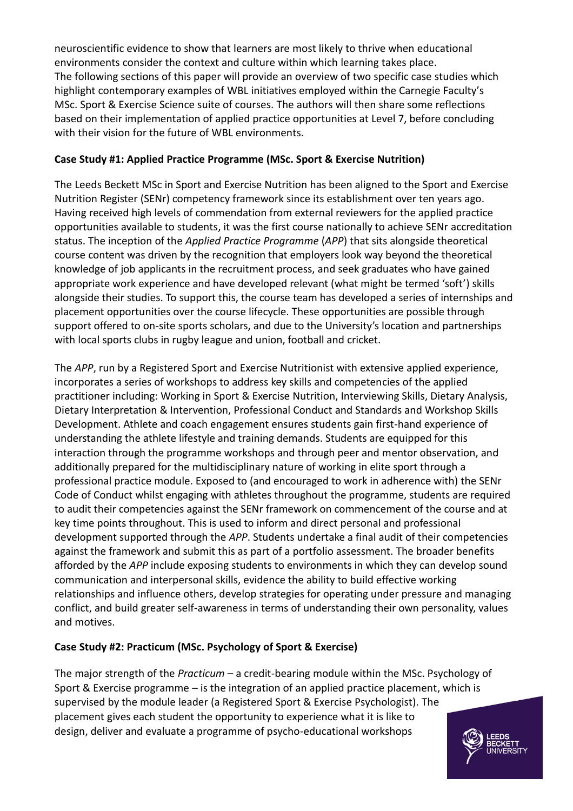neuroscientific evidence to show that learners are most likely to thrive when educational environments consider the context and culture within which learning takes place. The following sections of this paper will provide an overview of two specific case studies which highlight contemporary examples of WBL initiatives employed within the Carnegie Faculty's MSc. Sport & Exercise Science suite of courses. The authors will then share some reflections based on their implementation of applied practice opportunities at Level 7, before concluding with their vision for the future of WBL environments.

## **Case Study #1: Applied Practice Programme (MSc. Sport & Exercise Nutrition)**

The Leeds Beckett MSc in Sport and Exercise Nutrition has been aligned to the Sport and Exercise Nutrition Register (SENr) competency framework since its establishment over ten years ago. Having received high levels of commendation from external reviewers for the applied practice opportunities available to students, it was the first course nationally to achieve SENr accreditation status. The inception of the *Applied Practice Programme* (*APP*) that sits alongside theoretical course content was driven by the recognition that employers look way beyond the theoretical knowledge of job applicants in the recruitment process, and seek graduates who have gained appropriate work experience and have developed relevant (what might be termed 'soft') skills alongside their studies. To support this, the course team has developed a series of internships and placement opportunities over the course lifecycle. These opportunities are possible through support offered to on-site sports scholars, and due to the University's location and partnerships with local sports clubs in rugby league and union, football and cricket.

The *APP*, run by a Registered Sport and Exercise Nutritionist with extensive applied experience, incorporates a series of workshops to address key skills and competencies of the applied practitioner including: Working in Sport & Exercise Nutrition, Interviewing Skills, Dietary Analysis, Dietary Interpretation & Intervention, Professional Conduct and Standards and Workshop Skills Development. Athlete and coach engagement ensures students gain first-hand experience of understanding the athlete lifestyle and training demands. Students are equipped for this interaction through the programme workshops and through peer and mentor observation, and additionally prepared for the multidisciplinary nature of working in elite sport through a professional practice module. Exposed to (and encouraged to work in adherence with) the SENr Code of Conduct whilst engaging with athletes throughout the programme, students are required to audit their competencies against the SENr framework on commencement of the course and at key time points throughout. This is used to inform and direct personal and professional development supported through the *APP*. Students undertake a final audit of their competencies against the framework and submit this as part of a portfolio assessment. The broader benefits afforded by the *APP* include exposing students to environments in which they can develop sound communication and interpersonal skills, evidence the ability to build effective working relationships and influence others, develop strategies for operating under pressure and managing conflict, and build greater self-awareness in terms of understanding their own personality, values and motives.

# **Case Study #2: Practicum (MSc. Psychology of Sport & Exercise)**

The major strength of the *Practicum* – a credit-bearing module within the MSc. Psychology of Sport & Exercise programme – is the integration of an applied practice placement, which is supervised by the module leader (a Registered Sport & Exercise Psychologist). The placement gives each student the opportunity to experience what it is like to design, deliver and evaluate a programme of psycho-educational workshops

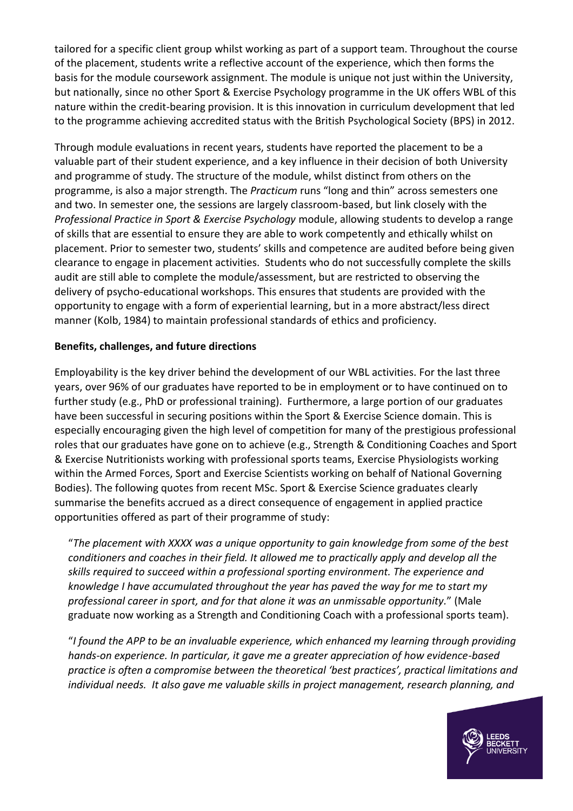tailored for a specific client group whilst working as part of a support team. Throughout the course of the placement, students write a reflective account of the experience, which then forms the basis for the module coursework assignment. The module is unique not just within the University, but nationally, since no other Sport & Exercise Psychology programme in the UK offers WBL of this nature within the credit-bearing provision. It is this innovation in curriculum development that led to the programme achieving accredited status with the British Psychological Society (BPS) in 2012.

Through module evaluations in recent years, students have reported the placement to be a valuable part of their student experience, and a key influence in their decision of both University and programme of study. The structure of the module, whilst distinct from others on the programme, is also a major strength. The *Practicum* runs "long and thin" across semesters one and two. In semester one, the sessions are largely classroom-based, but link closely with the *Professional Practice in Sport & Exercise Psychology* module, allowing students to develop a range of skills that are essential to ensure they are able to work competently and ethically whilst on placement. Prior to semester two, students' skills and competence are audited before being given clearance to engage in placement activities. Students who do not successfully complete the skills audit are still able to complete the module/assessment, but are restricted to observing the delivery of psycho-educational workshops. This ensures that students are provided with the opportunity to engage with a form of experiential learning, but in a more abstract/less direct manner (Kolb, 1984) to maintain professional standards of ethics and proficiency.

### **Benefits, challenges, and future directions**

Employability is the key driver behind the development of our WBL activities. For the last three years, over 96% of our graduates have reported to be in employment or to have continued on to further study (e.g., PhD or professional training). Furthermore, a large portion of our graduates have been successful in securing positions within the Sport & Exercise Science domain. This is especially encouraging given the high level of competition for many of the prestigious professional roles that our graduates have gone on to achieve (e.g., Strength & Conditioning Coaches and Sport & Exercise Nutritionists working with professional sports teams, Exercise Physiologists working within the Armed Forces, Sport and Exercise Scientists working on behalf of National Governing Bodies). The following quotes from recent MSc. Sport & Exercise Science graduates clearly summarise the benefits accrued as a direct consequence of engagement in applied practice opportunities offered as part of their programme of study:

"*The placement with XXXX was a unique opportunity to gain knowledge from some of the best conditioners and coaches in their field. It allowed me to practically apply and develop all the skills required to succeed within a professional sporting environment. The experience and knowledge I have accumulated throughout the year has paved the way for me to start my professional career in sport, and for that alone it was an unmissable opportunity.*" (Male graduate now working as a Strength and Conditioning Coach with a professional sports team).

"*I found the APP to be an invaluable experience, which enhanced my learning through providing hands-on experience. In particular, it gave me a greater appreciation of how evidence-based practice is often a compromise between the theoretical 'best practices', practical limitations and individual needs. It also gave me valuable skills in project management, research planning, and* 

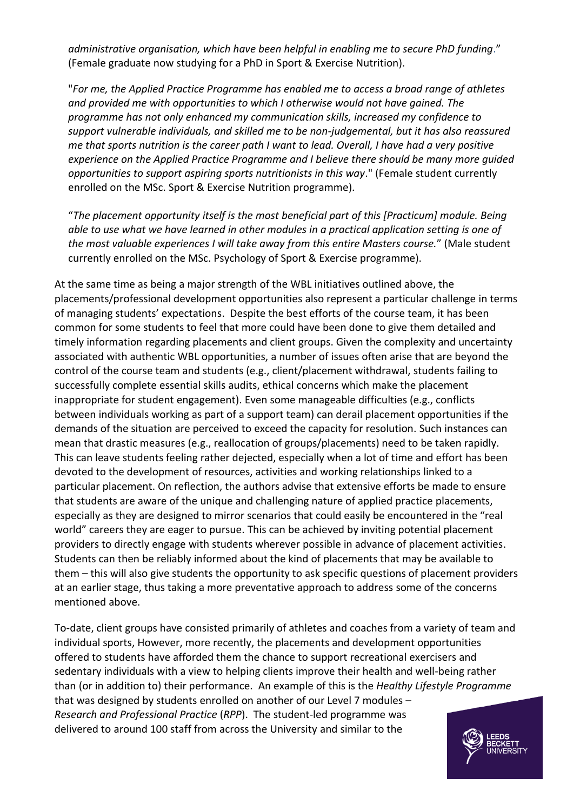*administrative organisation, which have been helpful in enabling me to secure PhD funding*." (Female graduate now studying for a PhD in Sport & Exercise Nutrition).

"*For me, the Applied Practice Programme has enabled me to access a broad range of athletes and provided me with opportunities to which I otherwise would not have gained. The programme has not only enhanced my communication skills, increased my confidence to support vulnerable individuals, and skilled me to be non-judgemental, but it has also reassured me that sports nutrition is the career path I want to lead. Overall, I have had a very positive experience on the Applied Practice Programme and I believe there should be many more guided opportunities to support aspiring sports nutritionists in this way*." (Female student currently enrolled on the MSc. Sport & Exercise Nutrition programme).

"*The placement opportunity itself is the most beneficial part of this [Practicum] module. Being able to use what we have learned in other modules in a practical application setting is one of the most valuable experiences I will take away from this entire Masters course.*" (Male student currently enrolled on the MSc. Psychology of Sport & Exercise programme).

At the same time as being a major strength of the WBL initiatives outlined above, the placements/professional development opportunities also represent a particular challenge in terms of managing students' expectations. Despite the best efforts of the course team, it has been common for some students to feel that more could have been done to give them detailed and timely information regarding placements and client groups. Given the complexity and uncertainty associated with authentic WBL opportunities, a number of issues often arise that are beyond the control of the course team and students (e.g., client/placement withdrawal, students failing to successfully complete essential skills audits, ethical concerns which make the placement inappropriate for student engagement). Even some manageable difficulties (e.g., conflicts between individuals working as part of a support team) can derail placement opportunities if the demands of the situation are perceived to exceed the capacity for resolution. Such instances can mean that drastic measures (e.g., reallocation of groups/placements) need to be taken rapidly. This can leave students feeling rather dejected, especially when a lot of time and effort has been devoted to the development of resources, activities and working relationships linked to a particular placement. On reflection, the authors advise that extensive efforts be made to ensure that students are aware of the unique and challenging nature of applied practice placements, especially as they are designed to mirror scenarios that could easily be encountered in the "real world" careers they are eager to pursue. This can be achieved by inviting potential placement providers to directly engage with students wherever possible in advance of placement activities. Students can then be reliably informed about the kind of placements that may be available to them – this will also give students the opportunity to ask specific questions of placement providers at an earlier stage, thus taking a more preventative approach to address some of the concerns mentioned above.

To-date, client groups have consisted primarily of athletes and coaches from a variety of team and individual sports, However, more recently, the placements and development opportunities offered to students have afforded them the chance to support recreational exercisers and sedentary individuals with a view to helping clients improve their health and well-being rather than (or in addition to) their performance. An example of this is the *Healthy Lifestyle Programme* that was designed by students enrolled on another of our Level 7 modules – *Research and Professional Practice* (*RPP*). The student-led programme was delivered to around 100 staff from across the University and similar to the